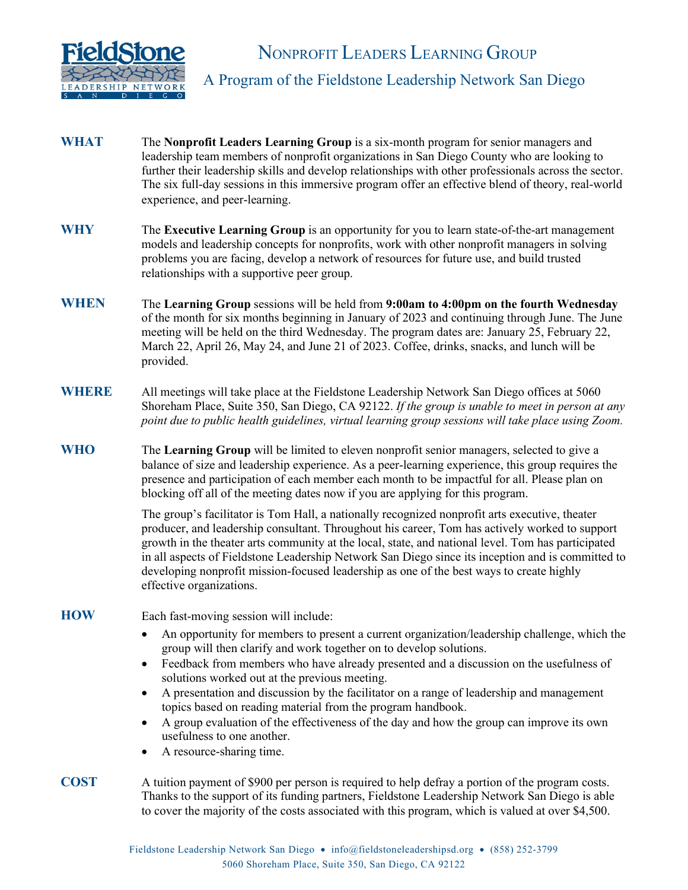

### A Program of the Fieldstone Leadership Network San Diego

- **WHAT** The **Nonprofit Leaders Learning Group** is a six-month program for senior managers and leadership team members of nonprofit organizations in San Diego County who are looking to further their leadership skills and develop relationships with other professionals across the sector. The six full-day sessions in this immersive program offer an effective blend of theory, real-world experience, and peer-learning.
- **WHY**  The **Executive Learning Group** is an opportunity for you to learn state-of-the-art management models and leadership concepts for nonprofits, work with other nonprofit managers in solving problems you are facing, develop a network of resources for future use, and build trusted relationships with a supportive peer group.
- **WHEN** The **Learning Group** sessions will be held from **9:00am to 4:00pm on the fourth Wednesday** of the month for six months beginning in January of 2023 and continuing through June. The June meeting will be held on the third Wednesday. The program dates are: January 25, February 22, March 22, April 26, May 24, and June 21 of 2023. Coffee, drinks, snacks, and lunch will be provided.
- **WHERE** All meetings will take place at the Fieldstone Leadership Network San Diego offices at 5060 Shoreham Place, Suite 350, San Diego, CA 92122. *If the group is unable to meet in person at any point due to public health guidelines, virtual learning group sessions will take place using Zoom.*
- **WHO**  The **Learning Group** will be limited to eleven nonprofit senior managers, selected to give a balance of size and leadership experience. As a peer-learning experience, this group requires the presence and participation of each member each month to be impactful for all. Please plan on blocking off all of the meeting dates now if you are applying for this program.

The group's facilitator is Tom Hall, a nationally recognized nonprofit arts executive, theater producer, and leadership consultant. Throughout his career, Tom has actively worked to support growth in the theater arts community at the local, state, and national level. Tom has participated in all aspects of Fieldstone Leadership Network San Diego since its inception and is committed to developing nonprofit mission-focused leadership as one of the best ways to create highly effective organizations.

#### **HOW**

Each fast-moving session will include:

- An opportunity for members to present a current organization/leadership challenge, which the group will then clarify and work together on to develop solutions.
- Feedback from members who have already presented and a discussion on the usefulness of solutions worked out at the previous meeting.
- A presentation and discussion by the facilitator on a range of leadership and management topics based on reading material from the program handbook.
- A group evaluation of the effectiveness of the day and how the group can improve its own usefulness to one another.
- A resource-sharing time.
- **COST** A tuition payment of \$900 per person is required to help defray a portion of the program costs. Thanks to the support of its funding partners, Fieldstone Leadership Network San Diego is able to cover the majority of the costs associated with this program, which is valued at over \$4,500.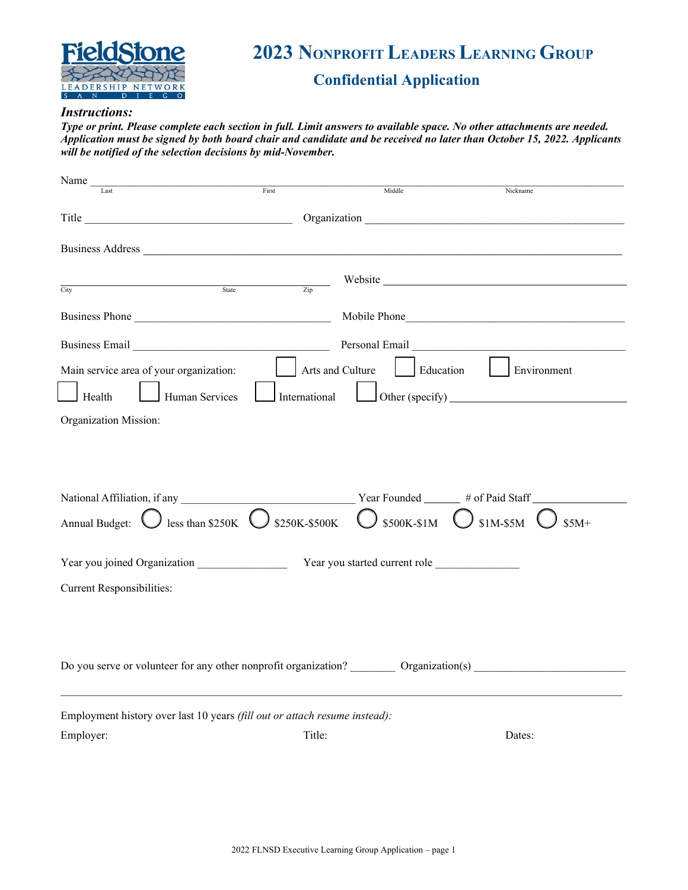

# **2023 NONPROFIT LEADERS LEARNING GROUP**

# **Confidential Application**

#### *Instructions:*

*Type or print. Please complete each section in full. Limit answers to available space. No other attachments are needed. Application must be signed by both board chair and candidate and be received no later than October 15, 2022. Applicants will be notified of the selection decisions by mid-November.*

| Name $_{-}$                                                                                                                                                                                                                                                                                                                                |                                                                                                                                                                                                                                |                               |             |  |  |  |
|--------------------------------------------------------------------------------------------------------------------------------------------------------------------------------------------------------------------------------------------------------------------------------------------------------------------------------------------|--------------------------------------------------------------------------------------------------------------------------------------------------------------------------------------------------------------------------------|-------------------------------|-------------|--|--|--|
| Last                                                                                                                                                                                                                                                                                                                                       | First                                                                                                                                                                                                                          | Middle                        | Nickname    |  |  |  |
|                                                                                                                                                                                                                                                                                                                                            | Title Communication Communication Communication Communication Communication Communication Communication Communication Communication Communication Communication Communication Communication Communication Communication Commun |                               |             |  |  |  |
|                                                                                                                                                                                                                                                                                                                                            |                                                                                                                                                                                                                                |                               |             |  |  |  |
|                                                                                                                                                                                                                                                                                                                                            |                                                                                                                                                                                                                                |                               |             |  |  |  |
|                                                                                                                                                                                                                                                                                                                                            |                                                                                                                                                                                                                                |                               |             |  |  |  |
| $\sqrt{3}$ State $\sqrt{2}$ $\sqrt{3}$ $\sqrt{2}$ $\sqrt{3}$ $\sqrt{3}$ $\sqrt{2}$ $\sqrt{3}$ $\sqrt{2}$ $\sqrt{3}$ $\sqrt{2}$ $\sqrt{3}$ $\sqrt{2}$ $\sqrt{3}$ $\sqrt{2}$ $\sqrt{3}$ $\sqrt{2}$ $\sqrt{3}$ $\sqrt{2}$ $\sqrt{3}$ $\sqrt{2}$ $\sqrt{3}$ $\sqrt{2}$ $\sqrt{3}$ $\sqrt{2}$ $\sqrt{3}$ $\sqrt{2}$<br>$\overline{\text{City}}$ |                                                                                                                                                                                                                                |                               |             |  |  |  |
|                                                                                                                                                                                                                                                                                                                                            | Business Phone                                                                                                                                                                                                                 |                               |             |  |  |  |
|                                                                                                                                                                                                                                                                                                                                            |                                                                                                                                                                                                                                |                               |             |  |  |  |
| Main service area of your organization:                                                                                                                                                                                                                                                                                                    | Arts and Culture                                                                                                                                                                                                               | Education                     | Environment |  |  |  |
|                                                                                                                                                                                                                                                                                                                                            |                                                                                                                                                                                                                                |                               |             |  |  |  |
| Health<br>Human Services                                                                                                                                                                                                                                                                                                                   | International                                                                                                                                                                                                                  |                               |             |  |  |  |
| Organization Mission:                                                                                                                                                                                                                                                                                                                      |                                                                                                                                                                                                                                |                               |             |  |  |  |
|                                                                                                                                                                                                                                                                                                                                            |                                                                                                                                                                                                                                |                               |             |  |  |  |
|                                                                                                                                                                                                                                                                                                                                            |                                                                                                                                                                                                                                |                               |             |  |  |  |
|                                                                                                                                                                                                                                                                                                                                            |                                                                                                                                                                                                                                |                               |             |  |  |  |
|                                                                                                                                                                                                                                                                                                                                            |                                                                                                                                                                                                                                |                               |             |  |  |  |
| Annual Budget: $\bigcirc$ less than \$250K $\bigcirc$ \$250K-\$500K $\bigcirc$ \$500K-\$1M $\bigcirc$ \$1M-\$5M                                                                                                                                                                                                                            |                                                                                                                                                                                                                                |                               | $$5M+$      |  |  |  |
|                                                                                                                                                                                                                                                                                                                                            |                                                                                                                                                                                                                                |                               |             |  |  |  |
|                                                                                                                                                                                                                                                                                                                                            |                                                                                                                                                                                                                                | Year you started current role |             |  |  |  |
| <b>Current Responsibilities:</b>                                                                                                                                                                                                                                                                                                           |                                                                                                                                                                                                                                |                               |             |  |  |  |
|                                                                                                                                                                                                                                                                                                                                            |                                                                                                                                                                                                                                |                               |             |  |  |  |
|                                                                                                                                                                                                                                                                                                                                            |                                                                                                                                                                                                                                |                               |             |  |  |  |
|                                                                                                                                                                                                                                                                                                                                            |                                                                                                                                                                                                                                |                               |             |  |  |  |
| Do you serve or volunteer for any other nonprofit organization? _________ Organization(s) ________________                                                                                                                                                                                                                                 |                                                                                                                                                                                                                                |                               |             |  |  |  |
|                                                                                                                                                                                                                                                                                                                                            |                                                                                                                                                                                                                                |                               |             |  |  |  |
|                                                                                                                                                                                                                                                                                                                                            |                                                                                                                                                                                                                                |                               |             |  |  |  |
| Employment history over last 10 years (fill out or attach resume instead):                                                                                                                                                                                                                                                                 |                                                                                                                                                                                                                                |                               |             |  |  |  |
| Employer:                                                                                                                                                                                                                                                                                                                                  | Title:                                                                                                                                                                                                                         |                               | Dates:      |  |  |  |
|                                                                                                                                                                                                                                                                                                                                            |                                                                                                                                                                                                                                |                               |             |  |  |  |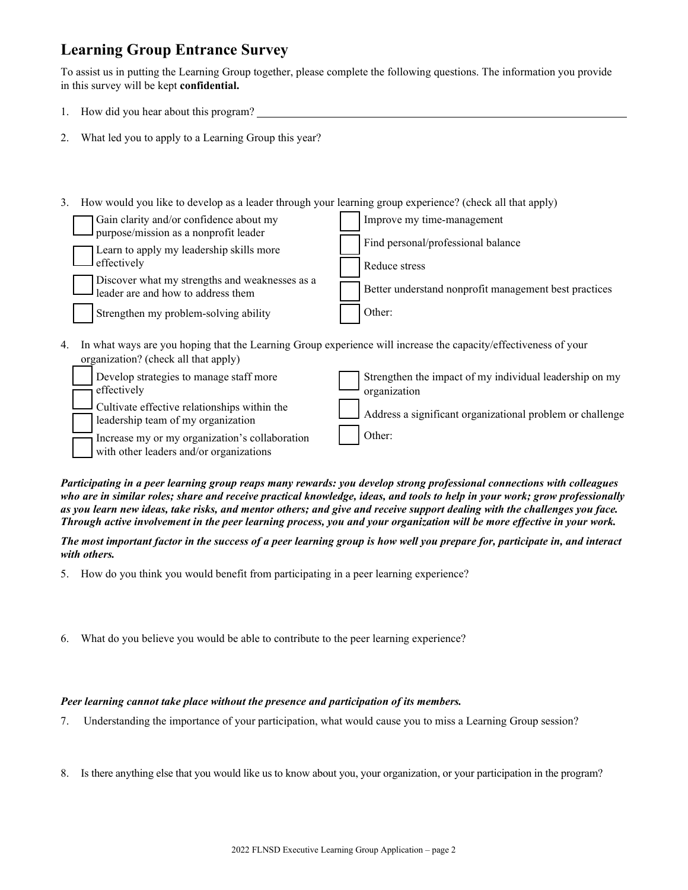# **Learning Group Entrance Survey**

To assist us in putting the Learning Group together, please complete the following questions. The information you provide in this survey will be kept **confidential.**

- 1. How did you hear about this program?
- 2. What led you to apply to a Learning Group this year?
- 3. How would you like to develop as a leader through your learning group experience? (check all that apply)

| Gain clarity and/or confidence about my<br>purpose/mission as a nonprofit leader     | Improve my time-management                            |
|--------------------------------------------------------------------------------------|-------------------------------------------------------|
| Learn to apply my leadership skills more                                             | Find personal/professional balance                    |
| effectively                                                                          | Reduce stress                                         |
| Discover what my strengths and weaknesses as a<br>leader are and how to address them | Better understand nonprofit management best practices |
| Strengthen my problem-solving ability                                                | Other:                                                |
|                                                                                      |                                                       |

4. In what ways are you hoping that the Learning Group experience will increase the capacity/effectiveness of your organization? (check all that apply)

| Develop strategies to manage staff more<br>effectively                                    | Strengthen the impact of my individual leadership on my<br>organization |
|-------------------------------------------------------------------------------------------|-------------------------------------------------------------------------|
| $\Box$ Cultivate effective relationships within the<br>leadership team of my organization | Address a significant organizational problem or challenge               |
| Increase my or my organization's collaboration<br>with other leaders and/or organizations | Other:                                                                  |

*Participating in a peer learning group reaps many rewards: you develop strong professional connections with colleagues who are in similar roles; share and receive practical knowledge, ideas, and tools to help in your work; grow professionally as you learn new ideas, take risks, and mentor others; and give and receive support dealing with the challenges you face. Through active involvement in the peer learning process, you and your organization will be more effective in your work.*

*The most important factor in the success of a peer learning group is how well you prepare for, participate in, and interact with others.* 

- 5. How do you think you would benefit from participating in a peer learning experience?
- 6. What do you believe you would be able to contribute to the peer learning experience?

### *Peer learning cannot take place without the presence and participation of its members.*

- 7. Understanding the importance of your participation, what would cause you to miss a Learning Group session?
- 8. Is there anything else that you would like us to know about you, your organization, or your participation in the program?